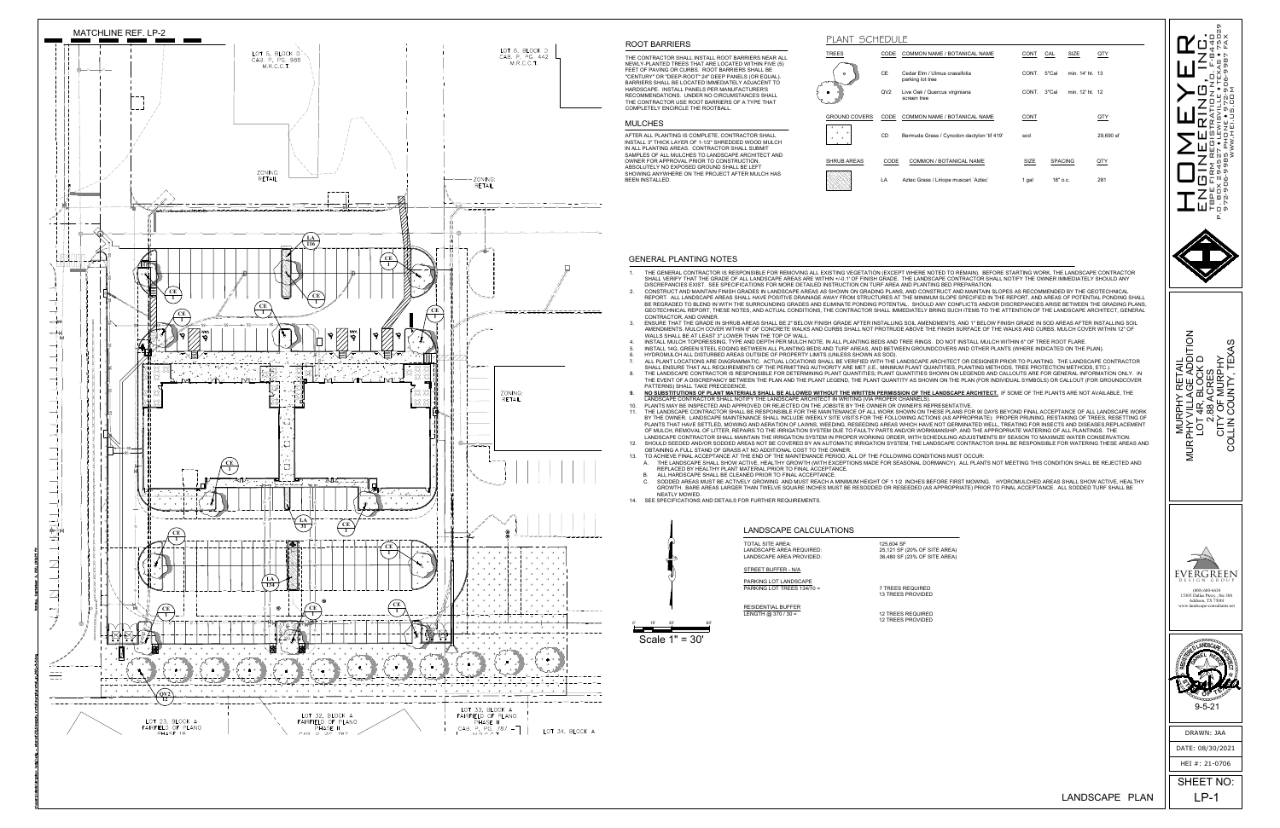DATE: 08/30/2021

HEI #: 21-0706

SHEET NO:

 $LANDSCAPE$  PLAN  $||$  LP-1



9-5-21

Scale 1" = 30'



### LANDSCAPE CALCULATIONS

| TOTAL SITE AREA:           | 125,604 SF                   |
|----------------------------|------------------------------|
| LANDSCAPE AREA REQUIRED:   | 25,121 SF (20% OF SITE AREA) |
| LANDSCAPE AREA PROVIDED:   | 36,480 SF (23% OF SITE AREA) |
| STREET BUFFER - N/A        |                              |
| PARKING LOT LANDSCAPE      | 7 TREES REQUIRED             |
| PARKING LOT TREES 134/10 = | <b>13 TREES PROVIDED</b>     |
| RESIDENTIAL BUFFER         | <b>12 TREES REQUIRED</b>     |
| LENGTH @ 370 / 30 =        | <b>12 TREES PROVIDED</b>     |

THE CONTRACTOR SHALL INSTALL ROOT BARRIERS NEAR ALL NEWLY-PLANTED TREES THAT ARE LOCATED WITHIN FIVE (5) FEET OF PAVING OR CURBS. ROOT BARRIERS SHALL BE "CENTURY" OR "DEEP-ROOT" 24" DEEP PANELS (OR EQUAL). BARRIERS SHALL BE LOCATED IMMEDIATELY ADJACENT TO HARDSCAPE. INSTALL PANELS PER MANUFACTURER'S RECOMMENDATIONS. UNDER NO CIRCUMSTANCES SHALL THE CONTRACTOR USE ROOT BARRIERS OF A TYPE THAT COMPLETELY ENCIRCLE THE ROOTBALL.

## ROOT BARRIERS

### GENERAL PLANTING NOTES

AFTER ALL PLANTING IS COMPLETE, CONTRACTOR SHALL INSTALL 3" THICK LAYER OF 1-1/2" SHREDDED WOOD MULCH IN ALL PLANTING AREAS. CONTRACTOR SHALL SUBMIT SAMPLES OF ALL MULCHES TO LANDSCAPE ARCHITECT AND OWNER FOR APPROVAL PRIOR TO CONSTRUCTION. ABSOLUTELY NO EXPOSED GROUND SHALL BE LEFT SHOWING ANYWHERE ON THE PROJECT AFTER MULCH HAS BEEN INSTALLED.

# MULCHES



- 1. THE GENERAL CONTRACTOR IS RESPONSIBLE FOR REMOVING ALL EXISTING VEGETATION (EXCEPT WHERE NOTED TO REMAIN). BEFORE STARTING WORK, THE LANDSCAPE CONTRACTOR SHALL VERIFY THAT THE GRADE OF ALL LANDSCAPE AREAS ARE WITHIN +/-0.1' OF FINISH GRADE. THE LANDSCAPE CONTRACTOR SHALL NOTIFY THE OWNER IMMEDIATELY SHOULD ANY
- DISCREPANCIES EXIST. SEE SPECIFICATIONS FOR MORE DETAILED INSTRUCTION ON TURF AREA AND PLANTING BED PREPARATION. 2. CONSTRUCT AND MAINTAIN FINISH GRADES IN LANDSCAPE AREAS AS SHOWN ON GRADING PLANS, AND CONSTRUCT AND MAINTAIN SLOPES AS RECOMMENDED BY THE GEOTECHNICAL REPORT. ALL LANDSCAPE AREAS SHALL HAVE POSITIVE DRAINAGE AWAY FROM STRUCTURES AT THE MINIMUM SLOPE SPECIFIED IN THE REPORT, AND AREAS OF POTENTIAL PONDING SHALL BE REGRADED TO BLEND IN WITH THE SURROUNDING GRADES AND ELIMINATE PONDING POTENTIAL. SHOULD ANY CONFLICTS AND/OR DISCREPANCIES ARISE BETWEEN THE GRADING PLANS, GEOTECHNICAL REPORT, THESE NOTES, AND ACTUAL CONDITIONS, THE CONTRACTOR SHALL IMMEDIATELY BRING SUCH ITEMS TO THE ATTENTION OF THE LANDSCAPE ARCHITECT, GENERAL
- CONTRACTOR, AND OWNER. 3. ENSURE THAT THE GRADE IN SHRUB AREAS SHALL BE 2" BELOW FINISH GRADE AFTER INSTALLING SOIL AMENDMENTS, AND 1" BELOW FINISH GRADE IN SOD AREAS AFTER INSTALLING SOIL AMENDMENTS. MULCH COVER WITHIN 6" OF CONCRETE WALKS AND CURBS SHALL NOT PROTRUDE ABOVE THE FINISH SURFACE OF THE WALKS AND CURBS. MULCH COVER WITHIN 12" OF WALLS SHALL BE AT LEAST 3" LOWER THAN THE TOP OF WALL.
- INSTALL MULCH TOPDRESSING, TYPE AND DEPTH PER MULCH NOTE, IN ALL PLANTING BEDS AND TREE RINGS. DO NOT INSTALL MULCH WITHIN 6" OF TREE ROOT FLARE. INSTALL 14G, GREEN STEEL EDGING BETWEEN ALL PLANTING BEDS AND TURF AREAS, AND BETWEEN GROUNDCOVERS AND OTHER PLANTS (WHERE INDICATED ON THE PLAN).
- HYDROMULCH ALL DISTURBED AREAS OUTSIDE OF PROPERTY LIMITS (UNLESS SHOWN AS SOD). 7. ALL PLANT LOCATIONS ARE DIAGRAMMATIC. ACTUAL LOCATIONS SHALL BE VERIFIED WITH THE LANDSCAPE ARCHITECT OR DESIGNER PRIOR TO PLANTING. THE LANDSCAPE CONTRACTOR SHALL ENSURE THAT ALL REQUIREMENTS OF THE PERMITTING AUTHORITY ARE MET (I.E., MINIMUM PLANT QUANTITIES, PLANTING METHODS, TREE PROTECTION METHODS, ETC.).
- 8. THE LANDSCAPE CONTRACTOR IS RESPONSIBLE FOR DETERMINING PLANT QUANTITIES; PLANT QUANTITIES SHOWN ON LEGENDS AND CALLOUTS ARE FOR GENERAL INFORMATION ONLY. IN THE EVENT OF A DISCREPANCY BETWEEN THE PLAN AND THE PLANT LEGEND, THE PLANT QUANTITY AS SHOWN ON THE PLAN (FOR INDIVIDUAL SYMBOLS) OR CALLOUT (FOR GROUNDCOVER PATTERNS) SHALL TAKE PRECEDENCE.
- **9. NO SUBSTITUTIONS OF PLANT MATERIALS SHALL BE ALLOWED WITHOUT THE WRITTEN PERMISSION OF THE LANDSCAPE ARCHITECT.** IF SOME OF THE PLANTS ARE NOT AVAILABLE, THE LANDSCAPE CONTRACTOR SHALL NOTIFY THE LANDSCAPE ARCHITECT IN WRITING (VIA PROPER CHANNELS).
- 10. PLANTS MAY BE INSPECTED AND APPROVED OR REJECTED ON THE JOBSITE BY THE OWNER OR OWNER'S REPRESENTATIVE. THE LAND CONTRACTOR SHALL BEFOND FOR THE PRIMETING AND CURS SHALL NOT PAYTHOUS ARREST THE SHALL BEAT ALL FEAR ON THE RESPONSIBLE FOR THE MAIN SHOWN ON THE PLANS IN THE MAIN SHOWN ON THE FUNAL ACCEPTATION OF THE MAINTENANC BY THE OWNER. LANDSCAPE MAINTENANCE SHALL INCLUDE WEEKLY SITE VISITS FOR THE FOLLOWING ACTIONS (AS APPROPRIATE): PROPER PRUNING, RESTAKING OF TREES, RESETTING OF PLANTS THAT HAVE SETTLED, MOWING AND AERATION OF LAWNS, WEEDING, RESEEDING AREAS WHICH HAVE NOT GERMINATED WELL, TREATING FOR INSECTS AND DISEASES,REPLACEMENT OF MULCH, REMOVAL OF LITTER, REPAIRS TO THE IRRIGATION SYSTEM DUE TO FAULTY PARTS AND/OR WORKMANSHIP, AND THE APPROPRIATE WATERING OF ALL PLANTINGS. THE LANDSCAPE CONTRACTOR SHALL MAINTAIN THE IRRIGATION SYSTEM IN PROPER WORKING ORDER, WITH SCHEDULING ADJUSTMENTS BY SEASON TO MAXIMIZE WATER CONSERVATION.
- 12. SHOULD SEEDED AND/OR SODDED AREAS NOT BE COVERED BY AN AUTOMATIC IRRIGATION SYSTEM, THE LANDSCAPE CONTRACTOR SHAL BE RESPONSIBLE FOR WATERING THESE AREAS AND OBTAINING A FULL STAND OF GRASS AT NO ADDITIONAL COST TO THE OWNER. 13. TO ACHIEVE FINAL ACCEPTANCE AT THE END OF THE MAINTENANCE PERIOD, ALL OF THE FOLLOWING CONDITIONS MUST OCCUR:
- A. THE LANDSCAPE SHALL SHOW ACTIVE, HEALTHY GROWTH (WITH EXCEPTIONS MADE FOR SEASONAL DORMANCY). ALL PLANTS NOT MEETING THIS CONDITION SHALL BE REJECTED AND REPLACED BY HEALTHY PLANT MATERIAL PRIOR TO FINAL ACCEPTANCE.
- B. ALL HARDSCAPE SHALL BE CLEANED PRIOR TO FINAL ACCEPTANCE. C. SODDED AREAS MUST BE ACTIVELY GROWING AND MUST REACH A MINIMUM HEIGHT OF 1 1/2 INCHES BEFORE FIRST MOWING. HYDROMULCHED AREAS SHALL SHOW ACTIVE, HEALTHY
- NEATLY MOWED. 14. SEE SPECIFICATIONS AND DETAILS FOR FURTHER REQUIREMENTS.

GROWTH. BARE AREAS LARGER THAN TWELVE SQUARE INCHES MUST BE RESODDED OR RESEEDED (AS APPROPRIATE) PRIOR TO FINAL ACCEPTANCE. ALL SODDED TURF SHALL BE

| PLANT SCHEDULE       |                 |                                                   |             |                |                 |           |  |  |
|----------------------|-----------------|---------------------------------------------------|-------------|----------------|-----------------|-----------|--|--|
| <b>TREES</b>         | CODE            | COMMON NAME / BOTANICAL NAME                      | <b>CONT</b> | CAL            | <b>SIZE</b>     | QTY       |  |  |
| $\circ$              | <b>CE</b>       | Cedar Elm / Ulmus crassifolia<br>parking lot tree | CONT.       | 5"Cal          | min. 14' ht. 13 |           |  |  |
|                      | QV <sub>2</sub> | Live Oak / Quercus virginiana<br>screen tree      | CONT.       | 3"Cal          | min. 12' ht. 12 |           |  |  |
| <b>GROUND COVERS</b> | CODE            | COMMON NAME / BOTANICAL NAME                      | <b>CONT</b> |                |                 | QTY       |  |  |
| w                    | CD              | Bermuda Grass / Cynodon dactylon 'tif 419'        | sod         |                |                 | 29,690 sf |  |  |
| <b>SHRUB AREAS</b>   | CODE            | COMMON / BOTANICAL NAME                           | SIZE        | <b>SPACING</b> |                 | QTY       |  |  |
|                      | LA              | Aztec Grass / Liriope muscari `Aztec`             | 1 gal       | 18" o.c.       |                 | 281       |  |  |